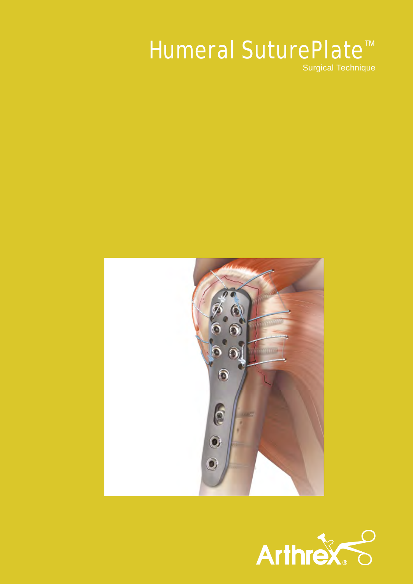# Humeral SuturePlate<sup>™</sup>

Surgical Technique



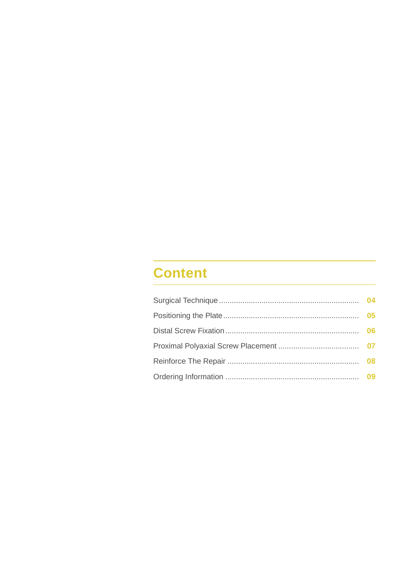# **Content**

| 04 |
|----|
| 05 |
| 06 |
|    |
| 08 |
| 09 |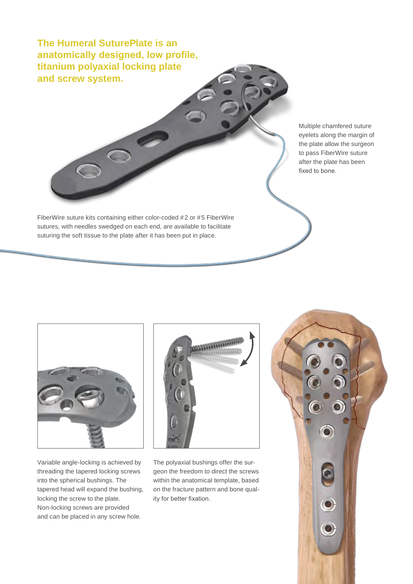**The Humeral SuturePlate is an anatomically designed, low profile, titanium polyaxial locking plate and screw system.**

FiberWire suture kits containing either color-coded #2 or #5 FiberWire sutures, with needles swedged on each end, are available to facilitate suturing the soft tissue to the plate after it has been put in place.

Multiple chamfered suture eyelets along the margin of the plate allow the surgeon to pass FiberWire suture after the plate has been fixed to bone.



Variable angle-locking is achieved by threading the tapered locking screws into the spherical bushings. The tapered head will expand the bushing, locking the screw to the plate. Non-locking screws are provided and can be placed in any screw hole.



The polyaxial bushings offer the surgeon the freedom to direct the screws within the anatomical template, based on the fracture pattern and bone quality for better fixation.

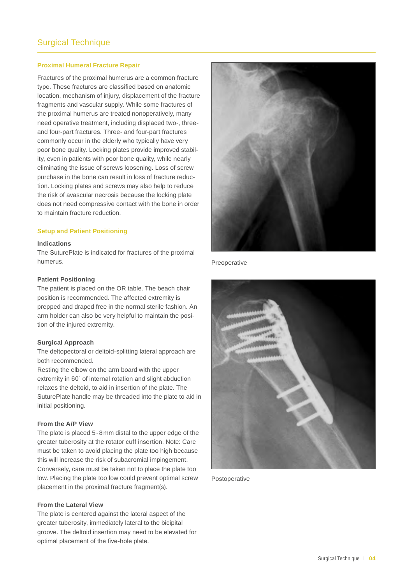#### **Proximal Humeral Fracture Repair**

Fractures of the proximal humerus are a common fracture type. These fractures are classified based on anatomic location, mechanism of injury, displacement of the fracture fragments and vascular supply. While some fractures of the proximal humerus are treated nonoperatively, many need operative treatment, including displaced two-, threeand four-part fractures. Three- and four-part fractures commonly occur in the elderly who typically have very poor bone quality. Locking plates provide improved stability, even in patients with poor bone quality, while nearly eliminating the issue of screws loosening. Loss of screw purchase in the bone can result in loss of fracture reduction. Locking plates and screws may also help to reduce the risk of avascular necrosis because the locking plate does not need compressive contact with the bone in order to maintain fracture reduction.

#### **Setup and Patient Positioning**

#### **Indications**

The SuturePlate is indicated for fractures of the proximal humerus.

#### **Patient Positioning**

The patient is placed on the OR table. The beach chair position is recommended. The affected extremity is prepped and draped free in the normal sterile fashion. An arm holder can also be very helpful to maintain the position of the injured extremity.

#### **Surgical Approach**

The deltopectoral or deltoid-splitting lateral approach are both recommended.

Resting the elbow on the arm board with the upper extremity in 60˚ of internal rotation and slight abduction relaxes the deltoid, to aid in insertion of the plate. The SuturePlate handle may be threaded into the plate to aid in initial positioning.

#### **From the A/P View**

The plate is placed 5-8mm distal to the upper edge of the greater tuberosity at the rotator cuff insertion. Note: Care must be taken to avoid placing the plate too high because this will increase the risk of subacromial impingement. Conversely, care must be taken not to place the plate too low. Placing the plate too low could prevent optimal screw placement in the proximal fracture fragment(s).

#### **From the Lateral View**

The plate is centered against the lateral aspect of the greater tuberosity, immediately lateral to the bicipital groove. The deltoid insertion may need to be elevated for optimal placement of the five-hole plate.



Preoperative



Postoperative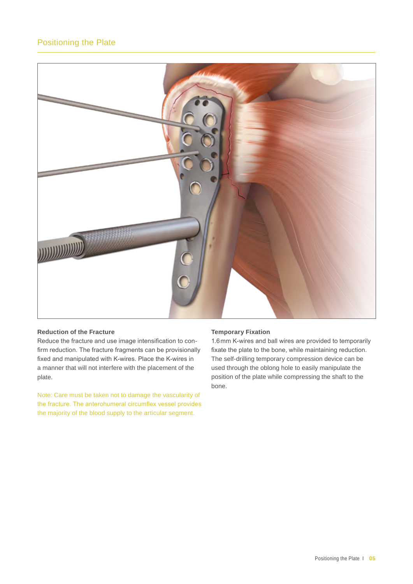## Positioning the Plate



#### **Reduction of the Fracture**

Reduce the fracture and use image intensification to confirm reduction. The fracture fragments can be provisionally fixed and manipulated with K-wires. Place the K-wires in a manner that will not interfere with the placement of the plate.

Note: Care must be taken not to damage the vascularity of the fracture. The anterohumeral circumflex vessel provides the majority of the blood supply to the articular segment.

#### **Temporary Fixation**

1.6mm K-wires and ball wires are provided to temporarily fixate the plate to the bone, while maintaining reduction. The self-drilling temporary compression device can be used through the oblong hole to easily manipulate the position of the plate while compressing the shaft to the bone.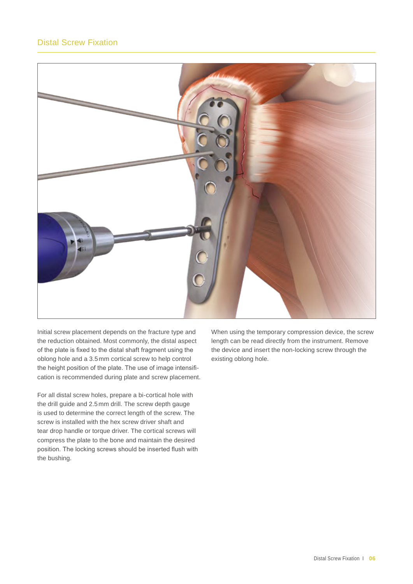

Initial screw placement depends on the fracture type and the reduction obtained. Most commonly, the distal aspect of the plate is fixed to the distal shaft fragment using the oblong hole and a 3.5mm cortical screw to help control the height position of the plate. The use of image intensification is recommended during plate and screw placement.

For all distal screw holes, prepare a bi-cortical hole with the drill guide and 2.5mm drill. The screw depth gauge is used to determine the correct length of the screw. The screw is installed with the hex screw driver shaft and tear drop handle or torque driver. The cortical screws will compress the plate to the bone and maintain the desired position. The locking screws should be inserted flush with the bushing.

When using the temporary compression device, the screw length can be read directly from the instrument. Remove the device and insert the non-locking screw through the existing oblong hole.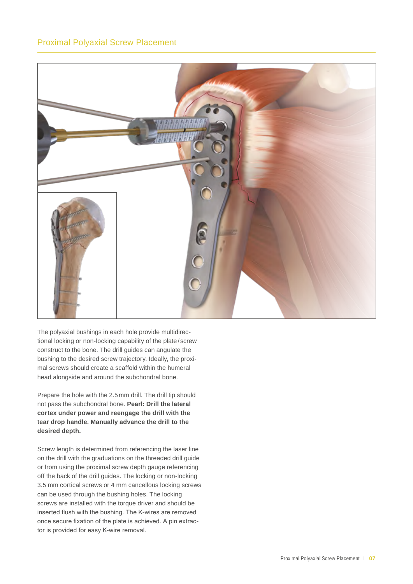

The polyaxial bushings in each hole provide multidirectional locking or non-locking capability of the plate/screw construct to the bone. The drill guides can angulate the bushing to the desired screw trajectory. Ideally, the proximal screws should create a scaffold within the humeral head alongside and around the subchondral bone.

Prepare the hole with the 2.5mm drill. The drill tip should not pass the subchondral bone. **Pearl: Drill the lateral cortex under power and reengage the drill with the tear drop handle. Manually advance the drill to the desired depth.**

Screw length is determined from referencing the laser line on the drill with the graduations on the threaded drill guide or from using the proximal screw depth gauge referencing off the back of the drill guides. The locking or non-locking 3.5 mm cortical screws or 4 mm cancellous locking screws can be used through the bushing holes. The locking screws are installed with the torque driver and should be inserted flush with the bushing. The K-wires are removed once secure fixation of the plate is achieved. A pin extractor is provided for easy K-wire removal.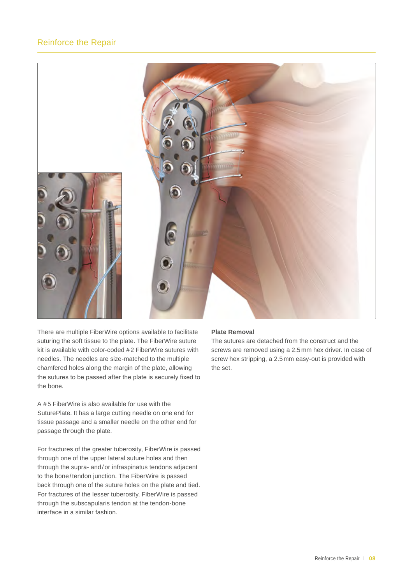## Reinforce the Repair



There are multiple FiberWire options available to facilitate suturing the soft tissue to the plate. The FiberWire suture kit is available with color-coded #2 FiberWire sutures with needles. The needles are size-matched to the multiple chamfered holes along the margin of the plate, allowing the sutures to be passed after the plate is securely fixed to the bone.

A #5 FiberWire is also available for use with the SuturePlate. It has a large cutting needle on one end for tissue passage and a smaller needle on the other end for passage through the plate.

For fractures of the greater tuberosity, FiberWire is passed through one of the upper lateral suture holes and then through the supra- and/or infraspinatus tendons adjacent to the bone/tendon junction. The FiberWire is passed back through one of the suture holes on the plate and tied. For fractures of the lesser tuberosity, FiberWire is passed through the subscapularis tendon at the tendon-bone interface in a similar fashion.

#### **Plate Removal**

The sutures are detached from the construct and the screws are removed using a 2.5mm hex driver. In case of screw hex stripping, a 2.5mm easy-out is provided with the set.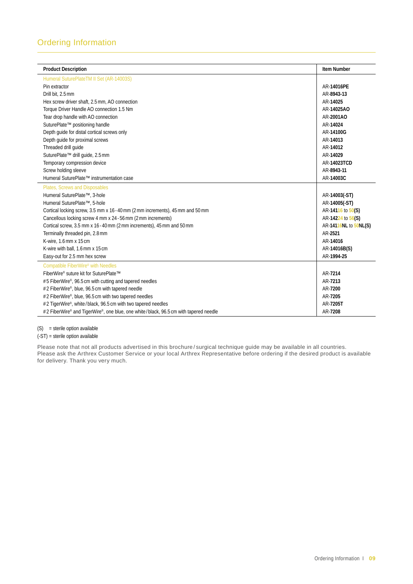| <b>Product Description</b>                                                           | <b>Item Number</b>    |
|--------------------------------------------------------------------------------------|-----------------------|
| Humeral SuturePlateTM II Set (AR-14003S)                                             |                       |
| Pin extractor                                                                        | AR-14016PE            |
| Drill bit, 2.5 mm                                                                    | AR-8943-13            |
| Hex screw driver shaft, 2.5 mm, AO connection                                        | AR-14025              |
| Torque Driver Handle AO connection 1.5 Nm                                            | AR-14025AO            |
| Tear drop handle with AO connection                                                  | AR-2001AO             |
| SuturePlate™ positioning handle                                                      | AR-14024              |
| Depth quide for distal cortical screws only                                          | AR-14100G             |
| Depth guide for proximal screws                                                      | AR-14013              |
| Threaded drill quide                                                                 | AR-14012              |
| SuturePlate™ drill guide, 2.5 mm                                                     | AR-14029              |
| Temporary compression device                                                         | AR-14023TCD           |
| Screw holding sleeve                                                                 | AR-8943-11            |
| Humeral SuturePlate™ instrumentation case                                            | AR-14003C             |
| Plates, Screws and Disposables                                                       |                       |
| Humeral SuturePlate™, 3-hole                                                         | AR-14003(-ST)         |
| Humeral SuturePlate™, 5-hole                                                         | AR-14005(-ST)         |
| Cortical locking screw, 3.5 mm x 16 - 40 mm (2 mm increments), 45 mm and 50 mm       | AR-14116 to 50(S)     |
| Cancellous locking screw 4 mm x 24 - 56 mm (2 mm increments)                         | AR-14224 to 56(S)     |
| Cortical screw, 3.5 mm x 16 - 40 mm (2 mm increments), 45 mm and 50 mm               | AR-14116NL to 50NL(S) |
| Terminally threaded pin, 2.8 mm                                                      | AR-2521               |
| K-wire, 1.6 mm x 15 cm                                                               | AR-14016              |
| K-wire with ball, 1.6 mm x 15 cm                                                     | AR-14016B(S)          |
| Easy-out for 2.5 mm hex screw                                                        | AR-1994-25            |
| Compatible FiberWire® with Needles                                                   |                       |
| FiberWire® suture kit for SuturePlate™                                               | AR-7214               |
| #5 FiberWire®, 96.5 cm with cutting and tapered needles                              | AR-7213               |
| #2 FiberWire®, blue, 96.5 cm with tapered needle                                     | AR-7200               |
| #2 FiberWire®, blue, 96.5 cm with two tapered needles                                | AR-7205               |
| #2 TigerWire®, white/black, 96.5 cm with two tapered needles                         | AR-7205T              |
| #2 FiberWire® and TigerWire®, one blue, one white/black, 96.5 cm with tapered needle | AR-7208               |

(S) = sterile option available

(-ST) = sterile option available

Please note that not all products advertised in this brochure / surgical technique guide may be available in all countries. Please ask the Arthrex Customer Service or your local Arthrex Representative before ordering if the desired product is available for delivery. Thank you very much.